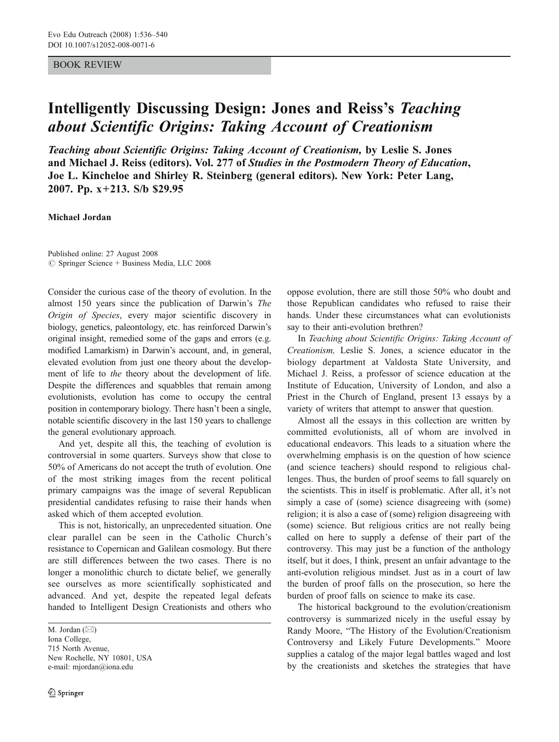## BOOK REVIEW

## Intelligently Discussing Design: Jones and Reiss*'*s Teaching about Scientific Origins: Taking Account of Creationism

Teaching about Scientific Origins: Taking Account of Creationism, by Leslie S. Jones and Michael J. Reiss (editors). Vol. 277 of Studies in the Postmodern Theory of Education, Joe L. Kincheloe and Shirley R. Steinberg (general editors). New York: Peter Lang, 2007. Pp. x+213. S/b \$29.95

Michael Jordan

Published online: 27 August 2008  $\circ$  Springer Science + Business Media, LLC 2008

Consider the curious case of the theory of evolution. In the almost 150 years since the publication of Darwin's The Origin of Species, every major scientific discovery in biology, genetics, paleontology, etc. has reinforced Darwin's original insight, remedied some of the gaps and errors (e.g. modified Lamarkism) in Darwin's account, and, in general, elevated evolution from just one theory about the development of life to the theory about the development of life. Despite the differences and squabbles that remain among evolutionists, evolution has come to occupy the central position in contemporary biology. There hasn't been a single, notable scientific discovery in the last 150 years to challenge the general evolutionary approach.

And yet, despite all this, the teaching of evolution is controversial in some quarters. Surveys show that close to 50% of Americans do not accept the truth of evolution. One of the most striking images from the recent political primary campaigns was the image of several Republican presidential candidates refusing to raise their hands when asked which of them accepted evolution.

This is not, historically, an unprecedented situation. One clear parallel can be seen in the Catholic Church's resistance to Copernican and Galilean cosmology. But there are still differences between the two cases. There is no longer a monolithic church to dictate belief, we generally see ourselves as more scientifically sophisticated and advanced. And yet, despite the repeated legal defeats handed to Intelligent Design Creationists and others who

M. Jordan (*\**) Iona College, 715 North Avenue, New Rochelle, NY 10801, USA e-mail: mjordan@iona.edu

oppose evolution, there are still those 50% who doubt and those Republican candidates who refused to raise their hands. Under these circumstances what can evolutionists say to their anti-evolution brethren?

In Teaching about Scientific Origins: Taking Account of Creationism, Leslie S. Jones, a science educator in the biology department at Valdosta State University, and Michael J. Reiss, a professor of science education at the Institute of Education, University of London, and also a Priest in the Church of England, present 13 essays by a variety of writers that attempt to answer that question.

Almost all the essays in this collection are written by committed evolutionists, all of whom are involved in educational endeavors. This leads to a situation where the overwhelming emphasis is on the question of how science (and science teachers) should respond to religious challenges. Thus, the burden of proof seems to fall squarely on the scientists. This in itself is problematic. After all, it's not simply a case of (some) science disagreeing with (some) religion; it is also a case of (some) religion disagreeing with (some) science. But religious critics are not really being called on here to supply a defense of their part of the controversy. This may just be a function of the anthology itself, but it does, I think, present an unfair advantage to the anti-evolution religious mindset. Just as in a court of law the burden of proof falls on the prosecution, so here the burden of proof falls on science to make its case.

The historical background to the evolution/creationism controversy is summarized nicely in the useful essay by Randy Moore, "The History of the Evolution/Creationism Controversy and Likely Future Developments." Moore supplies a catalog of the major legal battles waged and lost by the creationists and sketches the strategies that have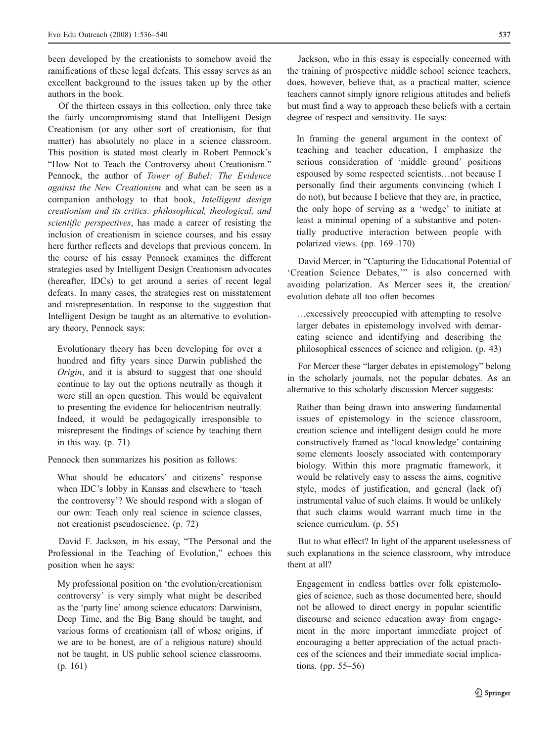been developed by the creationists to somehow avoid the ramifications of these legal defeats. This essay serves as an excellent background to the issues taken up by the other authors in the book.

Of the thirteen essays in this collection, only three take the fairly uncompromising stand that Intelligent Design Creationism (or any other sort of creationism, for that matter) has absolutely no place in a science classroom. This position is stated most clearly in Robert Pennock's "How Not to Teach the Controversy about Creationism." Pennock, the author of Tower of Babel: The Evidence against the New Creationism and what can be seen as a companion anthology to that book, Intelligent design creationism and its critics: philosophical, theological, and scientific perspectives, has made a career of resisting the inclusion of creationism in science courses, and his essay here further reflects and develops that previous concern. In the course of his essay Pennock examines the different strategies used by Intelligent Design Creationism advocates (hereafter, IDCs) to get around a series of recent legal defeats. In many cases, the strategies rest on misstatement and misrepresentation. In response to the suggestion that Intelligent Design be taught as an alternative to evolutionary theory, Pennock says:

Evolutionary theory has been developing for over a hundred and fifty years since Darwin published the Origin, and it is absurd to suggest that one should continue to lay out the options neutrally as though it were still an open question. This would be equivalent to presenting the evidence for heliocentrism neutrally. Indeed, it would be pedagogically irresponsible to misrepresent the findings of science by teaching them in this way. (p. 71)

Pennock then summarizes his position as follows:

What should be educators' and citizens' response when IDC's lobby in Kansas and elsewhere to 'teach the controversy'? We should respond with a slogan of our own: Teach only real science in science classes, not creationist pseudoscience. (p. 72)

David F. Jackson, in his essay, "The Personal and the Professional in the Teaching of Evolution," echoes this position when he says:

My professional position on 'the evolution/creationism controversy' is very simply what might be described as the 'party line' among science educators: Darwinism, Deep Time, and the Big Bang should be taught, and various forms of creationism (all of whose origins, if we are to be honest, are of a religious nature) should not be taught, in US public school science classrooms. (p. 161)

Jackson, who in this essay is especially concerned with the training of prospective middle school science teachers, does, however, believe that, as a practical matter, science teachers cannot simply ignore religious attitudes and beliefs but must find a way to approach these beliefs with a certain degree of respect and sensitivity. He says:

In framing the general argument in the context of teaching and teacher education, I emphasize the serious consideration of 'middle ground' positions espoused by some respected scientists…not because I personally find their arguments convincing (which I do not), but because I believe that they are, in practice, the only hope of serving as a 'wedge' to initiate at least a minimal opening of a substantive and potentially productive interaction between people with polarized views. (pp. 169–170)

David Mercer, in "Capturing the Educational Potential of 'Creation Science Debates,'" is also concerned with avoiding polarization. As Mercer sees it, the creation/ evolution debate all too often becomes

…excessively preoccupied with attempting to resolve larger debates in epistemology involved with demarcating science and identifying and describing the philosophical essences of science and religion. (p. 43)

For Mercer these "larger debates in epistemology" belong in the scholarly journals, not the popular debates. As an alternative to this scholarly discussion Mercer suggests:

Rather than being drawn into answering fundamental issues of epistemology in the science classroom, creation science and intelligent design could be more constructively framed as 'local knowledge' containing some elements loosely associated with contemporary biology. Within this more pragmatic framework, it would be relatively easy to assess the aims, cognitive style, modes of justification, and general (lack of) instrumental value of such claims. It would be unlikely that such claims would warrant much time in the science curriculum. (p. 55)

But to what effect? In light of the apparent uselessness of such explanations in the science classroom, why introduce them at all?

Engagement in endless battles over folk epistemologies of science, such as those documented here, should not be allowed to direct energy in popular scientific discourse and science education away from engagement in the more important immediate project of encouraging a better appreciation of the actual practices of the sciences and their immediate social implications. (pp. 55–56)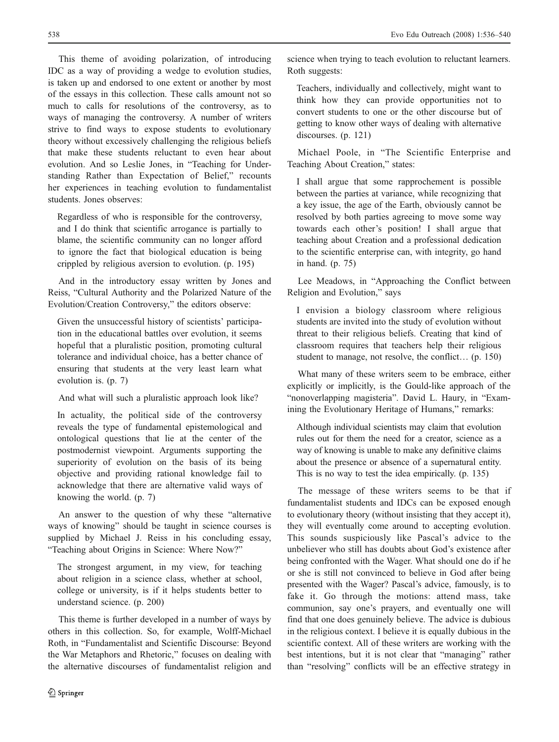This theme of avoiding polarization, of introducing IDC as a way of providing a wedge to evolution studies, is taken up and endorsed to one extent or another by most of the essays in this collection. These calls amount not so much to calls for resolutions of the controversy, as to ways of managing the controversy. A number of writers strive to find ways to expose students to evolutionary theory without excessively challenging the religious beliefs that make these students reluctant to even hear about evolution. And so Leslie Jones, in "Teaching for Understanding Rather than Expectation of Belief," recounts her experiences in teaching evolution to fundamentalist students. Jones observes:

Regardless of who is responsible for the controversy, and I do think that scientific arrogance is partially to blame, the scientific community can no longer afford to ignore the fact that biological education is being crippled by religious aversion to evolution. (p. 195)

And in the introductory essay written by Jones and Reiss, "Cultural Authority and the Polarized Nature of the Evolution/Creation Controversy," the editors observe:

Given the unsuccessful history of scientists' participation in the educational battles over evolution, it seems hopeful that a pluralistic position, promoting cultural tolerance and individual choice, has a better chance of ensuring that students at the very least learn what evolution is. (p. 7)

And what will such a pluralistic approach look like?

In actuality, the political side of the controversy reveals the type of fundamental epistemological and ontological questions that lie at the center of the postmodernist viewpoint. Arguments supporting the superiority of evolution on the basis of its being objective and providing rational knowledge fail to acknowledge that there are alternative valid ways of knowing the world. (p. 7)

An answer to the question of why these "alternative ways of knowing" should be taught in science courses is supplied by Michael J. Reiss in his concluding essay, "Teaching about Origins in Science: Where Now?"

The strongest argument, in my view, for teaching about religion in a science class, whether at school, college or university, is if it helps students better to understand science. (p. 200)

This theme is further developed in a number of ways by others in this collection. So, for example, Wolff-Michael Roth, in "Fundamentalist and Scientific Discourse: Beyond the War Metaphors and Rhetoric," focuses on dealing with the alternative discourses of fundamentalist religion and science when trying to teach evolution to reluctant learners. Roth suggests:

Teachers, individually and collectively, might want to think how they can provide opportunities not to convert students to one or the other discourse but of getting to know other ways of dealing with alternative discourses. (p. 121)

Michael Poole, in "The Scientific Enterprise and Teaching About Creation," states:

I shall argue that some rapprochement is possible between the parties at variance, while recognizing that a key issue, the age of the Earth, obviously cannot be resolved by both parties agreeing to move some way towards each other's position! I shall argue that teaching about Creation and a professional dedication to the scientific enterprise can, with integrity, go hand in hand. (p. 75)

Lee Meadows, in "Approaching the Conflict between Religion and Evolution," says

I envision a biology classroom where religious students are invited into the study of evolution without threat to their religious beliefs. Creating that kind of classroom requires that teachers help their religious student to manage, not resolve, the conflict… (p. 150)

What many of these writers seem to be embrace, either explicitly or implicitly, is the Gould-like approach of the "nonoverlapping magisteria". David L. Haury, in "Examining the Evolutionary Heritage of Humans," remarks:

Although individual scientists may claim that evolution rules out for them the need for a creator, science as a way of knowing is unable to make any definitive claims about the presence or absence of a supernatural entity. This is no way to test the idea empirically. (p. 135)

The message of these writers seems to be that if fundamentalist students and IDCs can be exposed enough to evolutionary theory (without insisting that they accept it), they will eventually come around to accepting evolution. This sounds suspiciously like Pascal's advice to the unbeliever who still has doubts about God's existence after being confronted with the Wager. What should one do if he or she is still not convinced to believe in God after being presented with the Wager? Pascal's advice, famously, is to fake it. Go through the motions: attend mass, take communion, say one's prayers, and eventually one will find that one does genuinely believe. The advice is dubious in the religious context. I believe it is equally dubious in the scientific context. All of these writers are working with the best intentions, but it is not clear that "managing" rather than "resolving" conflicts will be an effective strategy in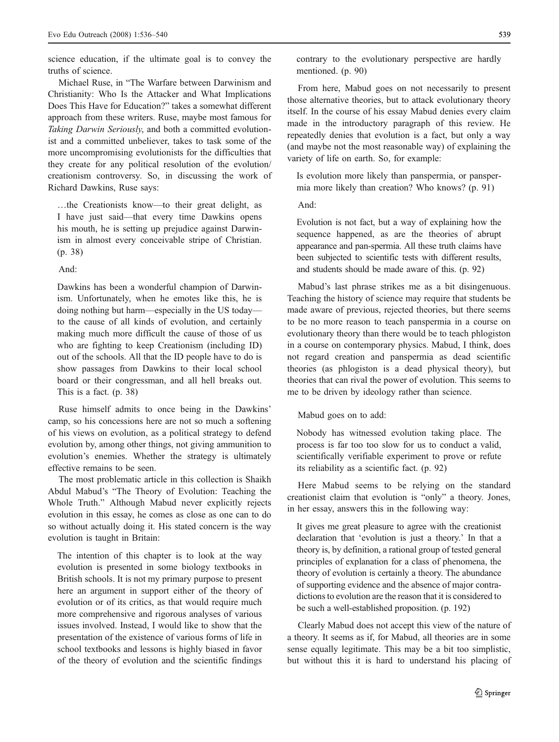science education, if the ultimate goal is to convey the truths of science.

Michael Ruse, in "The Warfare between Darwinism and Christianity: Who Is the Attacker and What Implications Does This Have for Education?" takes a somewhat different approach from these writers. Ruse, maybe most famous for Taking Darwin Seriously, and both a committed evolutionist and a committed unbeliever, takes to task some of the more uncompromising evolutionists for the difficulties that they create for any political resolution of the evolution/ creationism controversy. So, in discussing the work of Richard Dawkins, Ruse says:

…the Creationists know—to their great delight, as I have just said—that every time Dawkins opens his mouth, he is setting up prejudice against Darwinism in almost every conceivable stripe of Christian. (p. 38)

And:

Dawkins has been a wonderful champion of Darwinism. Unfortunately, when he emotes like this, he is doing nothing but harm—especially in the US today to the cause of all kinds of evolution, and certainly making much more difficult the cause of those of us who are fighting to keep Creationism (including ID) out of the schools. All that the ID people have to do is show passages from Dawkins to their local school board or their congressman, and all hell breaks out. This is a fact. (p. 38)

Ruse himself admits to once being in the Dawkins' camp, so his concessions here are not so much a softening of his views on evolution, as a political strategy to defend evolution by, among other things, not giving ammunition to evolution's enemies. Whether the strategy is ultimately effective remains to be seen.

The most problematic article in this collection is Shaikh Abdul Mabud's "The Theory of Evolution: Teaching the Whole Truth." Although Mabud never explicitly rejects evolution in this essay, he comes as close as one can to do so without actually doing it. His stated concern is the way evolution is taught in Britain:

The intention of this chapter is to look at the way evolution is presented in some biology textbooks in British schools. It is not my primary purpose to present here an argument in support either of the theory of evolution or of its critics, as that would require much more comprehensive and rigorous analyses of various issues involved. Instead, I would like to show that the presentation of the existence of various forms of life in school textbooks and lessons is highly biased in favor of the theory of evolution and the scientific findings

contrary to the evolutionary perspective are hardly mentioned. (p. 90)

From here, Mabud goes on not necessarily to present those alternative theories, but to attack evolutionary theory itself. In the course of his essay Mabud denies every claim made in the introductory paragraph of this review. He repeatedly denies that evolution is a fact, but only a way (and maybe not the most reasonable way) of explaining the variety of life on earth. So, for example:

Is evolution more likely than panspermia, or panspermia more likely than creation? Who knows? (p. 91)

And:

Evolution is not fact, but a way of explaining how the sequence happened, as are the theories of abrupt appearance and pan-spermia. All these truth claims have been subjected to scientific tests with different results, and students should be made aware of this. (p. 92)

Mabud's last phrase strikes me as a bit disingenuous. Teaching the history of science may require that students be made aware of previous, rejected theories, but there seems to be no more reason to teach panspermia in a course on evolutionary theory than there would be to teach phlogiston in a course on contemporary physics. Mabud, I think, does not regard creation and panspermia as dead scientific theories (as phlogiston is a dead physical theory), but theories that can rival the power of evolution. This seems to me to be driven by ideology rather than science.

Mabud goes on to add:

Nobody has witnessed evolution taking place. The process is far too too slow for us to conduct a valid, scientifically verifiable experiment to prove or refute its reliability as a scientific fact. (p. 92)

Here Mabud seems to be relying on the standard creationist claim that evolution is "only" a theory. Jones, in her essay, answers this in the following way:

It gives me great pleasure to agree with the creationist declaration that 'evolution is just a theory.' In that a theory is, by definition, a rational group of tested general principles of explanation for a class of phenomena, the theory of evolution is certainly a theory. The abundance of supporting evidence and the absence of major contradictions to evolution are the reason that it is considered to be such a well-established proposition. (p. 192)

Clearly Mabud does not accept this view of the nature of a theory. It seems as if, for Mabud, all theories are in some sense equally legitimate. This may be a bit too simplistic, but without this it is hard to understand his placing of